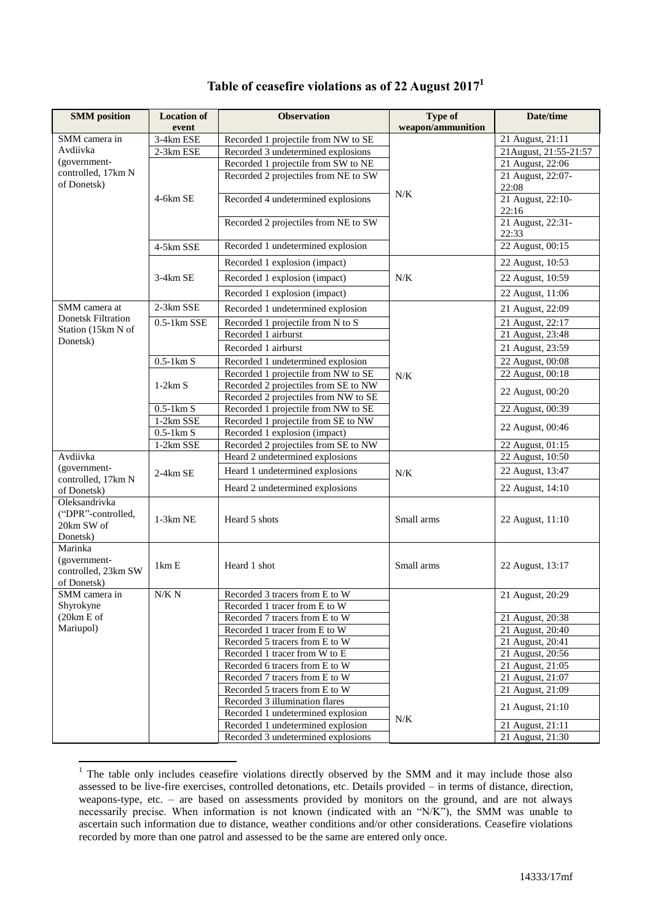| <b>SMM</b> position                                           | <b>Location of</b>                       | <b>Observation</b>                   | <b>Type of</b>    | Date/time                     |
|---------------------------------------------------------------|------------------------------------------|--------------------------------------|-------------------|-------------------------------|
|                                                               | event                                    |                                      | weapon/ammunition |                               |
| SMM camera in                                                 | 3-4km ESE                                | Recorded 1 projectile from NW to SE  |                   | 21 August, 21:11              |
| Avdiivka                                                      | 2-3km ESE                                | Recorded 3 undetermined explosions   |                   | 21 August, 21:55-21:57        |
| (government-<br>controlled, 17km N                            |                                          | Recorded 1 projectile from SW to NE  |                   | 21 August, 22:06              |
| of Donetsk)                                                   |                                          | Recorded 2 projectiles from NE to SW |                   | 21 August, 22:07-<br>22:08    |
|                                                               | 4-6km SE                                 | Recorded 4 undetermined explosions   | N/K               | 21 August, 22:10-<br>22:16    |
|                                                               |                                          | Recorded 2 projectiles from NE to SW |                   | 21 August, 22:31-<br>22:33    |
|                                                               | 4-5km SSE                                | Recorded 1 undetermined explosion    |                   | 22 August, 00:15              |
|                                                               |                                          | Recorded 1 explosion (impact)        |                   | 22 August, 10:53              |
|                                                               | 3-4km SE                                 | Recorded 1 explosion (impact)        | N/K               | 22 August, 10:59              |
|                                                               |                                          | Recorded 1 explosion (impact)        |                   | 22 August, 11:06              |
| SMM camera at                                                 | 2-3km SSE                                | Recorded 1 undetermined explosion    |                   | 21 August, 22:09              |
| <b>Donetsk Filtration</b><br>Station (15km N of               | $0.5-1$ km SSE                           | Recorded 1 projectile from N to S    |                   | 21 August, 22:17              |
| Donetsk)                                                      |                                          | Recorded 1 airburst                  |                   | 21 August, 23:48              |
|                                                               |                                          | Recorded 1 airburst                  |                   | 21 August, 23:59              |
|                                                               | $0.5-1\overline{\mathrm{km} \mathrm{S}}$ | Recorded 1 undetermined explosion    |                   | 22 August, 00:08              |
|                                                               |                                          | Recorded 1 projectile from NW to SE  | N/K               | 22 August, 00:18              |
|                                                               | $1-2km S$                                | Recorded 2 projectiles from SE to NW |                   |                               |
|                                                               |                                          | Recorded 2 projectiles from NW to SE |                   | 22 August, 00:20              |
|                                                               | $0.5-1 \text{km S}$                      | Recorded 1 projectile from NW to SE  |                   | 22 August, 00:39              |
|                                                               | 1-2km SSE                                | Recorded 1 projectile from SE to NW  |                   | 22 August, 00:46              |
|                                                               | $0.5-1 \text{km S}$                      | Recorded 1 explosion (impact)        |                   |                               |
|                                                               | $1-2km$ SSE                              | Recorded 2 projectiles from SE to NW |                   | 22 August, 01:15              |
| Avdiivka                                                      |                                          | Heard 2 undetermined explosions      |                   | 22 August, 10:50              |
| (government-<br>controlled, 17km N                            | 2-4km SE                                 | Heard 1 undetermined explosions      | N/K               | 22 August, 13:47              |
| of Donetsk)                                                   |                                          | Heard 2 undetermined explosions      |                   | 22 August, 14:10              |
| Oleksandrivka<br>("DPR"-controlled,<br>20km SW of<br>Donetsk) | $1-3km$ NE                               | Heard 5 shots                        | Small arms        | 22 August, 11:10              |
| Marinka<br>(government-<br>controlled, 23km SW<br>of Donetsk) | 1km E                                    | Heard 1 shot                         | Small arms        | 22 August, 13:17              |
| SMM camera in                                                 | N/K N                                    | Recorded 3 tracers from E to W       |                   | 21 August, 20:29              |
| Shyrokyne                                                     |                                          | Recorded 1 tracer from E to W        |                   |                               |
| (20km E of                                                    |                                          | Recorded 7 tracers from E to W       |                   | 21 August, 20:38              |
| Mariupol)                                                     |                                          | Recorded 1 tracer from E to W        |                   | 21 August, 20:40              |
|                                                               |                                          | Recorded 5 tracers from E to W       |                   | 21 August, 20:41              |
|                                                               |                                          | Recorded 1 tracer from W to E        |                   | 21 August, 20:56              |
|                                                               |                                          | Recorded 6 tracers from E to W       |                   | 21 August, 21:05              |
|                                                               |                                          | Recorded 7 tracers from E to W       |                   | 21 August, 21:07              |
|                                                               |                                          | Recorded 5 tracers from E to W       |                   | 21 August, 21:09              |
|                                                               |                                          | Recorded 3 illumination flares       |                   | 21 August, 21:10              |
|                                                               |                                          | Recorded 1 undetermined explosion    | N/K               |                               |
|                                                               |                                          | Recorded 1 undetermined explosion    |                   | 21 August, $21:\overline{11}$ |
|                                                               |                                          | Recorded 3 undetermined explosions   |                   | 21 August, 21:30              |

## **Table of ceasefire violations as of 22 August 2017<sup>1</sup>**

1

 $1$  The table only includes ceasefire violations directly observed by the SMM and it may include those also assessed to be live-fire exercises, controlled detonations, etc. Details provided – in terms of distance, direction, weapons-type, etc. – are based on assessments provided by monitors on the ground, and are not always necessarily precise. When information is not known (indicated with an "N/K"), the SMM was unable to ascertain such information due to distance, weather conditions and/or other considerations. Ceasefire violations recorded by more than one patrol and assessed to be the same are entered only once.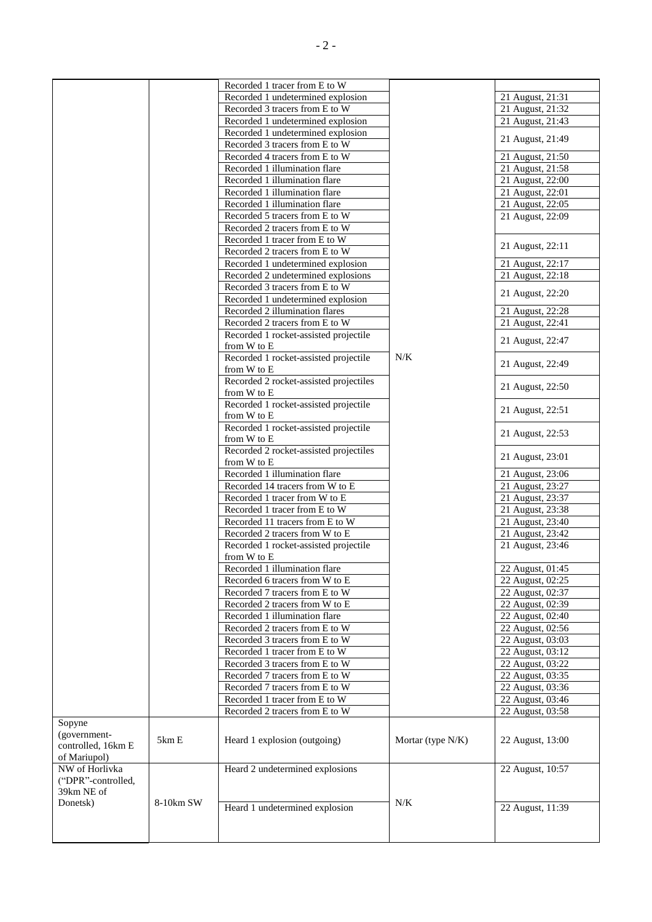|                                                              |           | Recorded 1 tracer from E to W                         |                   |                               |
|--------------------------------------------------------------|-----------|-------------------------------------------------------|-------------------|-------------------------------|
|                                                              |           | Recorded 1 undetermined explosion                     |                   | 21 August, 21:31              |
|                                                              |           |                                                       |                   |                               |
|                                                              |           | Recorded 3 tracers from E to W                        |                   | 21 August, 21:32              |
|                                                              |           | Recorded 1 undetermined explosion                     |                   | 21 August, 21:43              |
|                                                              |           | Recorded 1 undetermined explosion                     |                   | 21 August, 21:49              |
|                                                              |           | Recorded 3 tracers from E to W                        |                   |                               |
|                                                              |           | Recorded 4 tracers from E to W                        |                   | 21 August, 21:50              |
|                                                              |           | Recorded 1 illumination flare                         |                   | 21 August, 21:58              |
|                                                              |           | Recorded 1 illumination flare                         |                   | 21 August, 22:00              |
|                                                              |           | Recorded 1 illumination flare                         |                   | 21 August, 22:01              |
|                                                              |           | Recorded 1 illumination flare                         |                   | 21 August, 22:05              |
|                                                              |           | Recorded 5 tracers from E to W                        |                   | 21 August, 22:09              |
|                                                              |           | Recorded 2 tracers from E to W                        |                   |                               |
|                                                              |           | Recorded 1 tracer from E to W                         |                   |                               |
|                                                              |           |                                                       |                   | 21 August, 22:11              |
|                                                              |           | Recorded 2 tracers from E to W                        |                   |                               |
|                                                              |           | Recorded 1 undetermined explosion                     |                   | 21 August, 22:17              |
|                                                              |           | Recorded 2 undetermined explosions                    |                   | 21 August, 22:18              |
|                                                              |           | Recorded 3 tracers from E to W                        |                   | 21 August, 22:20              |
|                                                              |           | Recorded 1 undetermined explosion                     |                   |                               |
|                                                              |           | Recorded 2 illumination flares                        |                   | 21 August, 22:28              |
|                                                              |           | Recorded 2 tracers from E to W                        |                   | 21 August, 22:41              |
|                                                              |           | Recorded 1 rocket-assisted projectile                 |                   |                               |
|                                                              |           | from W to E                                           |                   | 21 August, 22:47              |
|                                                              |           | Recorded 1 rocket-assisted projectile<br>from W to E  | N/K               | 21 August, 22:49              |
|                                                              |           | Recorded 2 rocket-assisted projectiles<br>from W to E |                   | 21 August, 22:50              |
|                                                              |           | Recorded 1 rocket-assisted projectile<br>from W to E  |                   | 21 August, 22:51              |
|                                                              |           | Recorded 1 rocket-assisted projectile<br>from W to E  |                   | 21 August, 22:53              |
|                                                              |           | Recorded 2 rocket-assisted projectiles                |                   | 21 August, 23:01              |
|                                                              |           | from W to E                                           |                   |                               |
|                                                              |           | Recorded 1 illumination flare                         |                   | 21 August, 23:06              |
|                                                              |           | Recorded 14 tracers from W to E                       |                   | 21 August, 23:27              |
|                                                              |           | Recorded 1 tracer from W to E                         |                   | 21 August, 23:37              |
|                                                              |           | Recorded 1 tracer from E to W                         |                   | 21 August, 23:38              |
|                                                              |           | Recorded 11 tracers from E to W                       |                   | 21 August, 23:40              |
|                                                              |           | Recorded 2 tracers from W to E                        |                   | 21 August, 23:42              |
|                                                              |           | Recorded 1 rocket-assisted projectile                 |                   | 21 August, 23:46              |
|                                                              |           | from W to E                                           |                   |                               |
|                                                              |           | Recorded 1 illumination flare                         |                   | 22 August, 01:45              |
|                                                              |           | Recorded 6 tracers from W to E                        |                   | 22 August, 02:25              |
|                                                              |           |                                                       |                   |                               |
|                                                              |           | Recorded 7 tracers from E to W                        |                   | 22 August, 02:37              |
|                                                              |           | Recorded 2 tracers from W to E                        |                   | 22 August, 02:39              |
|                                                              |           | Recorded 1 illumination flare                         |                   | 22 August, 02:40              |
|                                                              |           | Recorded 2 tracers from E to W                        |                   | 22 August, 02:56              |
|                                                              |           | Recorded 3 tracers from E to W                        |                   | 22 August, 03:03              |
|                                                              |           | Recorded 1 tracer from E to W                         |                   | $\overline{22}$ August, 03:12 |
|                                                              |           | Recorded 3 tracers from E to W                        |                   | 22 August, 03:22              |
|                                                              |           | Recorded 7 tracers from E to W                        |                   | 22 August, 03:35              |
|                                                              |           |                                                       |                   |                               |
|                                                              |           | Recorded 7 tracers from E to W                        |                   | 22 August, 03:36              |
|                                                              |           | Recorded 1 tracer from E to W                         |                   | 22 August, 03:46              |
|                                                              |           | Recorded 2 tracers from E to W                        |                   | 22 August, 03:58              |
| Sopyne<br>(government-<br>controlled, 16km E<br>of Mariupol) | 5km E     | Heard 1 explosion (outgoing)                          | Mortar (type N/K) | 22 August, 13:00              |
| NW of Horlivka                                               |           | Heard 2 undetermined explosions                       |                   | 22 August, 10:57              |
| ("DPR"-controlled,<br>39km NE of                             |           |                                                       |                   |                               |
| Donetsk)                                                     | 8-10km SW | Heard 1 undetermined explosion                        | N/K               | 22 August, 11:39              |
|                                                              |           |                                                       |                   |                               |
|                                                              |           |                                                       |                   |                               |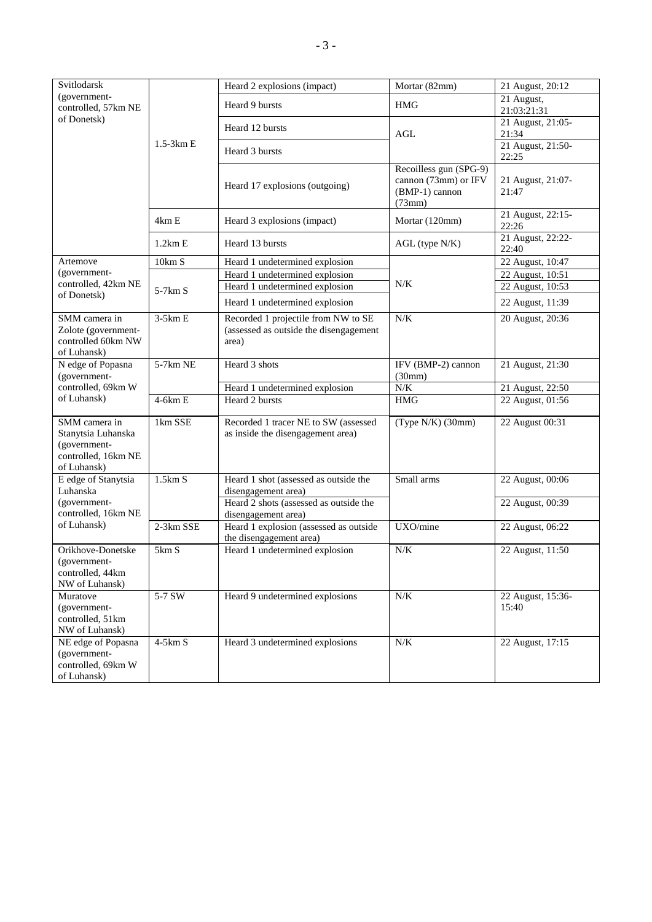| Svitlodarsk<br>(government-<br>controlled, 57km NE<br>of Donetsk)                         | $1.5-3km E$ | Heard 2 explosions (impact)                                                            | Mortar (82mm)                                                              | 21 August, 20:12           |
|-------------------------------------------------------------------------------------------|-------------|----------------------------------------------------------------------------------------|----------------------------------------------------------------------------|----------------------------|
|                                                                                           |             | Heard 9 bursts                                                                         | <b>HMG</b>                                                                 | 21 August,<br>21:03:21:31  |
|                                                                                           |             | Heard 12 bursts                                                                        | AGL                                                                        | 21 August, 21:05-<br>21:34 |
|                                                                                           |             | Heard 3 bursts                                                                         |                                                                            | 21 August, 21:50-<br>22:25 |
|                                                                                           |             | Heard 17 explosions (outgoing)                                                         | Recoilless gun (SPG-9)<br>cannon (73mm) or IFV<br>(BMP-1) cannon<br>(73mm) | 21 August, 21:07-<br>21:47 |
|                                                                                           | 4km E       | Heard 3 explosions (impact)                                                            | Mortar (120mm)                                                             | 21 August, 22:15-<br>22:26 |
|                                                                                           | 1.2km E     | Heard 13 bursts                                                                        | AGL (type N/K)                                                             | 21 August, 22:22-<br>22:40 |
| Artemove                                                                                  | 10km S      | Heard 1 undetermined explosion                                                         |                                                                            | 22 August, 10:47           |
| (government-                                                                              |             | Heard 1 undetermined explosion                                                         |                                                                            | 22 August, 10:51           |
| controlled, 42km NE                                                                       | $5-7km S$   | Heard 1 undetermined explosion                                                         | N/K                                                                        | 22 August, 10:53           |
| of Donetsk)                                                                               |             | Heard 1 undetermined explosion                                                         |                                                                            | 22 August, 11:39           |
| SMM camera in<br>Zolote (government-<br>controlled 60km NW<br>of Luhansk)                 | $3-5km E$   | Recorded 1 projectile from NW to SE<br>(assessed as outside the disengagement<br>area) | N/K                                                                        | 20 August, 20:36           |
| N edge of Popasna<br>(government-                                                         | 5-7km NE    | Heard 3 shots                                                                          | IFV (BMP-2) cannon<br>(30mm)                                               | 21 August, 21:30           |
| controlled, 69km W                                                                        |             | Heard 1 undetermined explosion                                                         | $N/K$                                                                      | 21 August, 22:50           |
| of Luhansk)                                                                               | $4-6km E$   | Heard 2 bursts                                                                         | <b>HMG</b>                                                                 | 22 August, 01:56           |
| SMM camera in<br>Stanytsia Luhanska<br>(government-<br>controlled, 16km NE<br>of Luhansk) | 1km SSE     | Recorded 1 tracer NE to SW (assessed<br>as inside the disengagement area)              | $(Type N/K)$ (30mm)                                                        | 22 August 00:31            |
| E edge of Stanytsia<br>Luhanska<br>(government-<br>controlled, 16km NE<br>of Luhansk)     | 1.5km S     | Heard 1 shot (assessed as outside the<br>disengagement area)                           | Small arms                                                                 | 22 August, 00:06           |
|                                                                                           |             | Heard 2 shots (assessed as outside the<br>disengagement area)                          |                                                                            | 22 August, 00:39           |
|                                                                                           | 2-3km SSE   | Heard 1 explosion (assessed as outside<br>the disengagement area)                      | UXO/mine                                                                   | 22 August, 06:22           |
| Orikhove-Donetske<br>(government-<br>controlled, 44km<br>NW of Luhansk)                   | 5km S       | Heard 1 undetermined explosion                                                         | $N/K$                                                                      | 22 August, 11:50           |
| Muratove<br>(government-<br>controlled, 51km<br>NW of Luhansk)                            | 5-7 SW      | Heard 9 undetermined explosions                                                        | $N\!/\!K$                                                                  | 22 August, 15:36-<br>15:40 |
| NE edge of Popasna<br>(government-<br>controlled, 69km W<br>of Luhansk)                   | $4-5km S$   | Heard 3 undetermined explosions                                                        | $N/K$                                                                      | 22 August, 17:15           |